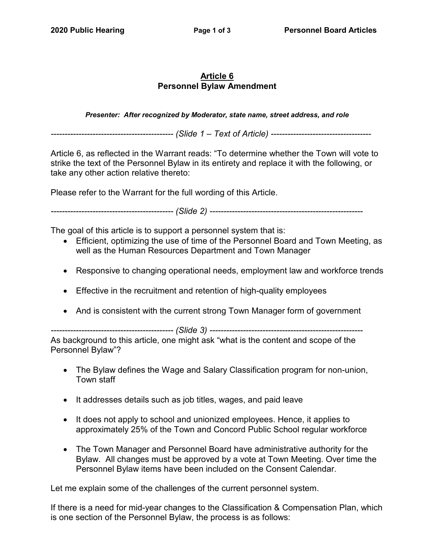# **Article 6 Personnel Bylaw Amendment**

*Presenter: After recognized by Moderator, state name, street address, and role*

*-------------------------------------------- (Slide 1 – Text of Article) ------------------------------------*

Article 6, as reflected in the Warrant reads: "To determine whether the Town will vote to strike the text of the Personnel Bylaw in its entirety and replace it with the following, or take any other action relative thereto:

Please refer to the Warrant for the full wording of this Article.

*-------------------------------------------- (Slide 2) -------------------------------------------------------*

The goal of this article is to support a personnel system that is:

- Efficient, optimizing the use of time of the Personnel Board and Town Meeting, as well as the Human Resources Department and Town Manager
- Responsive to changing operational needs, employment law and workforce trends
- Effective in the recruitment and retention of high-quality employees
- And is consistent with the current strong Town Manager form of government

*-------------------------------------------- (Slide 3) -------------------------------------------------------*

As background to this article, one might ask "what is the content and scope of the Personnel Bylaw"?

- The Bylaw defines the Wage and Salary Classification program for non-union, Town staff
- It addresses details such as job titles, wages, and paid leave
- It does not apply to school and unionized employees. Hence, it applies to approximately 25% of the Town and Concord Public School regular workforce
- The Town Manager and Personnel Board have administrative authority for the Bylaw. All changes must be approved by a vote at Town Meeting. Over time the Personnel Bylaw items have been included on the Consent Calendar.

Let me explain some of the challenges of the current personnel system.

If there is a need for mid-year changes to the Classification & Compensation Plan, which is one section of the Personnel Bylaw, the process is as follows: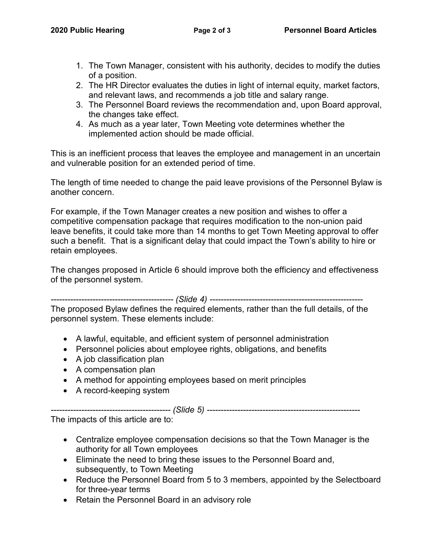- 1. The Town Manager, consistent with his authority, decides to modify the duties of a position.
- 2. The HR Director evaluates the duties in light of internal equity, market factors, and relevant laws, and recommends a job title and salary range.
- 3. The Personnel Board reviews the recommendation and, upon Board approval, the changes take effect.
- 4. As much as a year later, Town Meeting vote determines whether the implemented action should be made official.

This is an inefficient process that leaves the employee and management in an uncertain and vulnerable position for an extended period of time.

The length of time needed to change the paid leave provisions of the Personnel Bylaw is another concern.

For example, if the Town Manager creates a new position and wishes to offer a competitive compensation package that requires modification to the non-union paid leave benefits, it could take more than 14 months to get Town Meeting approval to offer such a benefit. That is a significant delay that could impact the Town's ability to hire or retain employees.

The changes proposed in Article 6 should improve both the efficiency and effectiveness of the personnel system.

*-------------------------------------------- (Slide 4) -------------------------------------------------------*

The proposed Bylaw defines the required elements, rather than the full details, of the personnel system. These elements include:

- A lawful, equitable, and efficient system of personnel administration
- Personnel policies about employee rights, obligations, and benefits
- A job classification plan
- A compensation plan
- A method for appointing employees based on merit principles
- A record-keeping system

*------------------------------------------- (Slide 5) -------------------------------------------------------*

The impacts of this article are to:

- Centralize employee compensation decisions so that the Town Manager is the authority for all Town employees
- Eliminate the need to bring these issues to the Personnel Board and, subsequently, to Town Meeting
- Reduce the Personnel Board from 5 to 3 members, appointed by the Selectboard for three-year terms
- Retain the Personnel Board in an advisory role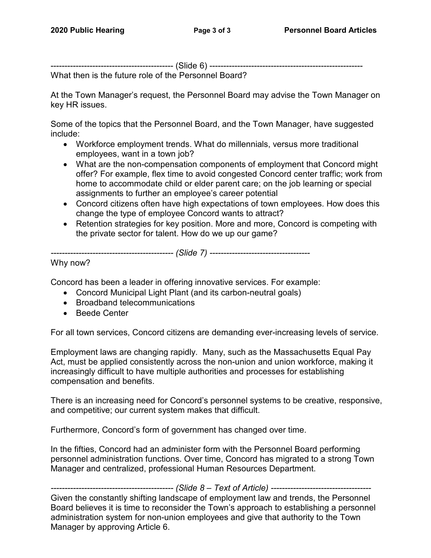-------------------------------------------- (Slide 6) -------------------------------------------------------

What then is the future role of the Personnel Board?

At the Town Manager's request, the Personnel Board may advise the Town Manager on key HR issues.

Some of the topics that the Personnel Board, and the Town Manager, have suggested include:

- Workforce employment trends. What do millennials, versus more traditional employees, want in a town job?
- What are the non-compensation components of employment that Concord might offer? For example, flex time to avoid congested Concord center traffic; work from home to accommodate child or elder parent care; on the job learning or special assignments to further an employee's career potential
- Concord citizens often have high expectations of town employees. How does this change the type of employee Concord wants to attract?
- Retention strategies for key position. More and more, Concord is competing with the private sector for talent. How do we up our game?

*-------------------------------------------- (Slide 7) ------------------------------------*

Why now?

Concord has been a leader in offering innovative services. For example:

- Concord Municipal Light Plant (and its carbon-neutral goals)
- Broadband telecommunications
- Beede Center

For all town services, Concord citizens are demanding ever-increasing levels of service.

Employment laws are changing rapidly. Many, such as the Massachusetts Equal Pay Act, must be applied consistently across the non-union and union workforce, making it increasingly difficult to have multiple authorities and processes for establishing compensation and benefits.

There is an increasing need for Concord's personnel systems to be creative, responsive, and competitive; our current system makes that difficult.

Furthermore, Concord's form of government has changed over time.

In the fifties, Concord had an administer form with the Personnel Board performing personnel administration functions. Over time, Concord has migrated to a strong Town Manager and centralized, professional Human Resources Department.

*-------------------------------------------- (Slide 8 – Text of Article) ------------------------------------* Given the constantly shifting landscape of employment law and trends, the Personnel Board believes it is time to reconsider the Town's approach to establishing a personnel administration system for non-union employees and give that authority to the Town Manager by approving Article 6.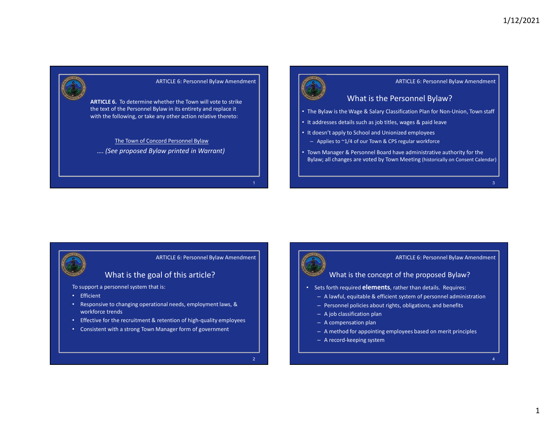



- The Bylaw is the Wage & Salary Classification Plan for Non-Union, Town staff
- It addresses details such as job titles, wages & paid leave
- It doesn't apply to School and Unionized employees
	- Applies to ~1/4 of our Town & CPS regular workforce
- What is the Personnel Bylaw?<br>
Wage & Salary Classification Plan for Non-Union, Town staff<br>
ails such as job titles, wages & paid leave<br>
to School and Unionized employees<br>
4 of our Town & CPS regular workforce<br>
& Personnel • Town Manager & Personnel Board have administrative authority for the Bylaw; all changes are voted by Town Meeting (historically on Consent Calendar)

# ARTICLE 6: Personnel Bylaw Amendment

- To support a personnel system that is:
- Efficient
- What is the goal of this article?<br>
Personnel system that is:<br>
e to changing operational needs, employment laws, &<br>
trends<br>
or the recruitment & retention of high-quality employees<br>
with a strong Town Manager form of govern • Responsive to changing operational needs, employment laws, & workforce trends
- Effective for the recruitment & retention of high-quality employees
- Consistent with a strong Town Manager form of government



# ARTICLE 6: Personnel Bylaw Amendment

# What is the concept of the proposed Bylaw?<br>
orth required **elements**, rather than details. Requires:<br>
lawful, equitable & efficient system of personnel administration<br>
resonnel policies about rights, obligations, and benef

- Sets forth required **elements**, rather than details. Requires:
	- A lawful, equitable & efficient system of personnel administration
	- Personnel policies about rights, obligations, and benefits
	- A job classification plan
	- A compensation plan
	- A method for appointing employees based on merit principles
	- A record-keeping system